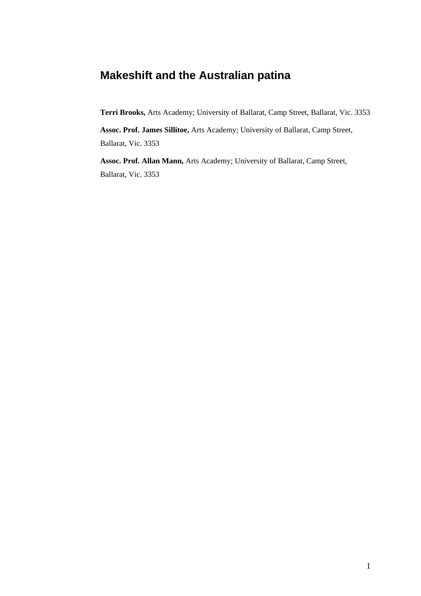# **Makeshift and the Australian patina**

**Terri Brooks,** Arts Academy; University of Ballarat, Camp Street, Ballarat, Vic. 3353

**Assoc. Prof. James Sillitoe,** Arts Academy; University of Ballarat, Camp Street, Ballarat, Vic. 3353

**Assoc. Prof. Allan Mann,** Arts Academy; University of Ballarat, Camp Street, Ballarat, Vic. 3353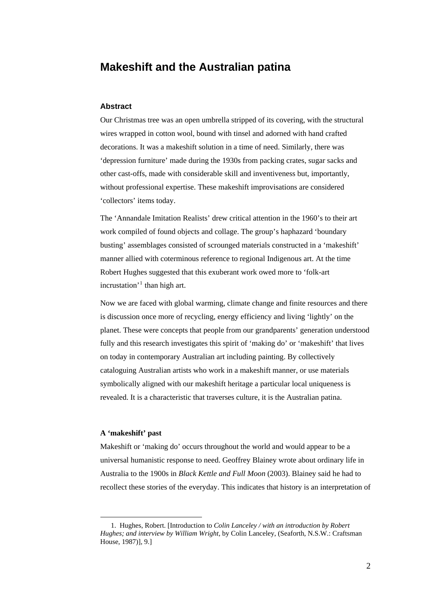## **Makeshift and the Australian patina**

#### **Abstract**

Our Christmas tree was an open umbrella stripped of its covering, with the structural wires wrapped in cotton wool, bound with tinsel and adorned with hand crafted decorations. It was a makeshift solution in a time of need. Similarly, there was 'depression furniture' made during the 1930s from packing crates, sugar sacks and other cast-offs, made with considerable skill and inventiveness but, importantly, without professional expertise. These makeshift improvisations are considered 'collectors' items today.

The 'Annandale Imitation Realists' drew critical attention in the 1960's to their art work compiled of found objects and collage. The group's haphazard 'boundary busting' assemblages consisted of scrounged materials constructed in a 'makeshift' manner allied with coterminous reference to regional Indigenous art. At the time Robert Hughes suggested that this exuberant work owed more to 'folk-art incrustation<sup>'[1](#page-1-0)</sup> than high art.

Now we are faced with global warming, climate change and finite resources and there is discussion once more of recycling, energy efficiency and living 'lightly' on the planet. These were concepts that people from our grandparents' generation understood fully and this research investigates this spirit of 'making do' or 'makeshift' that lives on today in contemporary Australian art including painting. By collectively cataloguing Australian artists who work in a makeshift manner, or use materials symbolically aligned with our makeshift heritage a particular local uniqueness is revealed. It is a characteristic that traverses culture, it is the Australian patina.

#### **A 'makeshift' past**

<u>.</u>

Makeshift or 'making do' occurs throughout the world and would appear to be a universal humanistic response to need. Geoffrey Blainey wrote about ordinary life in Australia to the 1900s in *Black Kettle and Full Moon* (2003). Blainey said he had to recollect these stories of the everyday. This indicates that history is an interpretation of

<span id="page-1-0"></span> <sup>1.</sup> Hughes, Robert. [Introduction to *Colin Lanceley / with an introduction by Robert Hughes; and interview by William Wright,* by Colin Lanceley, (Seaforth, N.S.W.: Craftsman House, 1987)], 9.]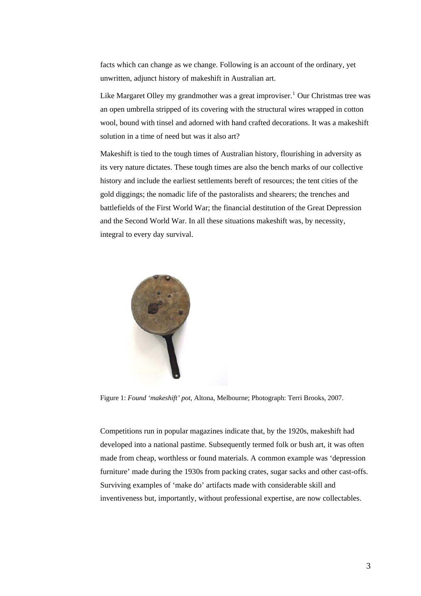facts which can change as we change. Following is an account of the ordinary, yet unwritten, adjunct history of makeshift in Australian art.

Like Margaret Olley my grandmother was a great improviser.<sup>[1](#page-8-0)</sup> Our Christmas tree was an open umbrella stripped of its covering with the structural wires wrapped in cotton wool, bound with tinsel and adorned with hand crafted decorations. It was a makeshift solution in a time of need but was it also art?

Makeshift is tied to the tough times of Australian history, flourishing in adversity as its very nature dictates. These tough times are also the bench marks of our collective history and include the earliest settlements bereft of resources; the tent cities of the gold diggings; the nomadic life of the pastoralists and shearers; the trenches and battlefields of the First World War; the financial destitution of the Great Depression and the Second World War. In all these situations makeshift was, by necessity, integral to every day survival.



Figure 1: *Found 'makeshift' pot*, Altona, Melbourne; Photograph: Terri Brooks, 2007.

Competitions run in popular magazines indicate that, by the 1920s, makeshift had developed into a national pastime. Subsequently termed folk or bush art, it was often made from cheap, worthless or found materials. A common example was 'depression furniture' made during the 1930s from packing crates, sugar sacks and other cast-offs. Surviving examples of 'make do' artifacts made with considerable skill and inventiveness but, importantly, without professional expertise, are now collectables.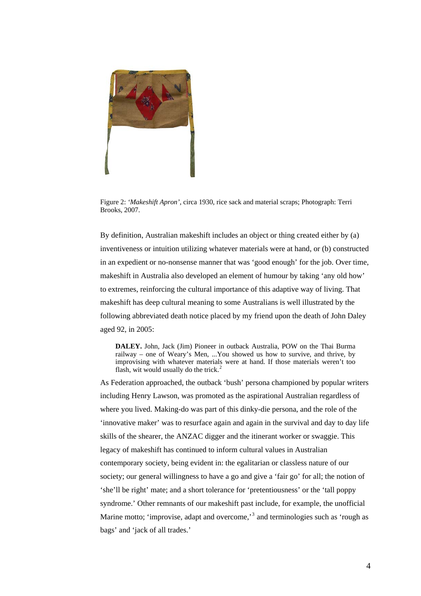

Figure 2: *'Makeshift Apron'*, circa 1930, rice sack and material scraps; Photograph: Terri Brooks, 2007.

By definition, Australian makeshift includes an object or thing created either by (a) inventiveness or intuition utilizing whatever materials were at hand, or (b) constructed in an expedient or no-nonsense manner that was 'good enough' for the job. Over time, makeshift in Australia also developed an element of humour by taking 'any old how' to extremes, reinforcing the cultural importance of this adaptive way of living. That makeshift has deep cultural meaning to some Australians is well illustrated by the following abbreviated death notice placed by my friend upon the death of John Daley aged 92, in 2005:

**DALEY.** John, Jack (Jim) Pioneer in outback Australia, POW on the Thai Burma railway – one of Weary's Men, ...You showed us how to survive, and thrive, by improvising with whatever materials were at hand. If those materials weren't too flash, wit would usually do the trick.<sup>[2](#page-8-1)</sup>

As Federation approached, the outback 'bush' persona championed by popular writers including Henry Lawson, was promoted as the aspirational Australian regardless of where you lived. Making-do was part of this dinky-die persona, and the role of the 'innovative maker' was to resurface again and again in the survival and day to day life skills of the shearer, the ANZAC digger and the itinerant worker or swaggie. This legacy of makeshift has continued to inform cultural values in Australian contemporary society, being evident in: the egalitarian or classless nature of our society; our general willingness to have a go and give a 'fair go' for all; the notion of 'she'll be right' mate; and a short tolerance for 'pretentiousness' or the 'tall poppy syndrome.' Other remnants of our makeshift past include, for example, the unofficial Marine motto; 'improvise, adapt and overcome,'<sup>[3](#page-8-1)</sup> and terminologies such as 'rough as bags' and 'jack of all trades.'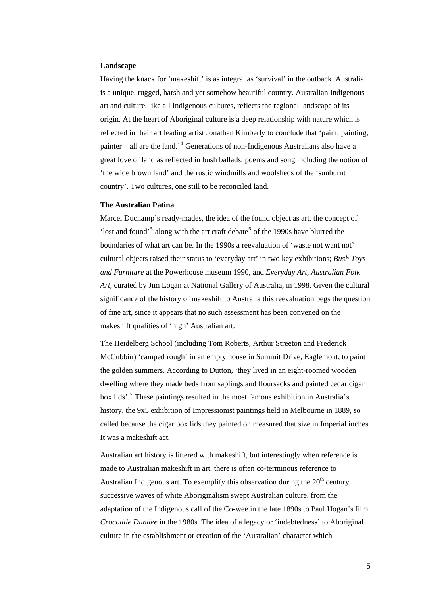#### **Landscape**

Having the knack for 'makeshift' is as integral as 'survival' in the outback. Australia is a unique, rugged, harsh and yet somehow beautiful country. Australian Indigenous art and culture, like all Indigenous cultures, reflects the regional landscape of its origin. At the heart of Aboriginal culture is a deep relationship with nature which is reflected in their art leading artist Jonathan Kimberly to conclude that 'paint, painting, painter – all are the land.<sup>[4](#page-8-1)</sup> Generations of non-Indigenous Australians also have a great love of land as reflected in bush ballads, poems and song including the notion of 'the wide brown land' and the rustic windmills and woolsheds of the 'sunburnt country'. Two cultures, one still to be reconciled land.

#### **The Australian Patina**

Marcel Duchamp's ready-mades, the idea of the found object as art, the concept of 'lost and found'<sup>[5](#page-8-1)</sup> along with the art craft debate<sup>[6](#page-8-1)</sup> of the 1990s have blurred the boundaries of what art can be. In the 1990s a reevaluation of 'waste not want not' cultural objects raised their status to 'everyday art' in two key exhibitions; *Bush Toys and Furniture* at the Powerhouse museum 1990, and *Everyday Art, Australian Folk Art*, curated by Jim Logan at National Gallery of Australia, in 1998. Given the cultural significance of the history of makeshift to Australia this reevaluation begs the question of fine art, since it appears that no such assessment has been convened on the makeshift qualities of 'high' Australian art.

The Heidelberg School (including Tom Roberts, Arthur Streeton and Frederick McCubbin) 'camped rough' in an empty house in Summit Drive, Eaglemont, to paint the golden summers. According to Dutton, 'they lived in an eight-roomed wooden dwelling where they made beds from saplings and floursacks and painted cedar cigar box lids'.<sup>[7](#page-8-1)</sup> These paintings resulted in the most famous exhibition in Australia's history, the 9x5 exhibition of Impressionist paintings held in Melbourne in 1889, so called because the cigar box lids they painted on measured that size in Imperial inches. It was a makeshift act.

Australian art history is littered with makeshift, but interestingly when reference is made to Australian makeshift in art, there is often co-terminous reference to Australian Indigenous art. To exemplify this observation during the  $20<sup>th</sup>$  century successive waves of white Aboriginalism swept Australian culture, from the adaptation of the Indigenous call of the Co-wee in the late 1890s to Paul Hogan's film *Crocodile Dundee* in the 1980s. The idea of a legacy or 'indebtedness' to Aboriginal culture in the establishment or creation of the 'Australian' character which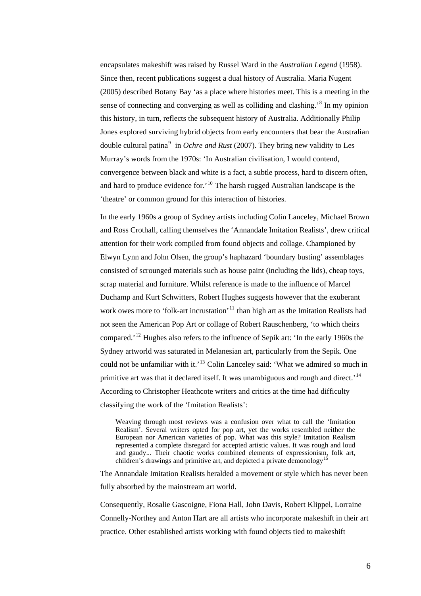encapsulates makeshift was raised by Russel Ward in the *Australian Legend* (1958). Since then, recent publications suggest a dual history of Australia. Maria Nugent (2005) described Botany Bay 'as a place where histories meet. This is a meeting in the sense of connecting and converging as well as colliding and clashing.<sup>[8](#page-8-1)</sup> In my opinion this history, in turn, reflects the subsequent history of Australia. Additionally Philip Jones explored surviving hybrid objects from early encounters that bear the Australian double cultural patina<sup>[9](#page-8-1)</sup> in *Ochre and Rust* (2007). They bring new validity to Les Murray's words from the 1970s: 'In Australian civilisation, I would contend, convergence between black and white is a fact, a subtle process, hard to discern often, and hard to produce evidence for.<sup>[10](#page-8-1)</sup> The harsh rugged Australian landscape is the 'theatre' or common ground for this interaction of histories.

In the early 1960s a group of Sydney artists including Colin Lanceley, Michael Brown and Ross Crothall, calling themselves the 'Annandale Imitation Realists', drew critical attention for their work compiled from found objects and collage. Championed by Elwyn Lynn and John Olsen, the group's haphazard 'boundary busting' assemblages consisted of scrounged materials such as house paint (including the lids), cheap toys, scrap material and furniture. Whilst reference is made to the influence of Marcel Duchamp and Kurt Schwitters, Robert Hughes suggests however that the exuberant work owes more to 'folk-art incrustation'<sup>[11](#page-8-1)</sup> than high art as the Imitation Realists had not seen the American Pop Art or collage of Robert Rauschenberg, 'to which theirs compared.'[12](#page-8-1) Hughes also refers to the influence of Sepik art: 'In the early 1960s the Sydney artworld was saturated in Melanesian art, particularly from the Sepik. One could not be unfamiliar with it.'[13](#page-8-1) Colin Lanceley said: 'What we admired so much in primitive art was that it declared itself. It was unambiguous and rough and direct.<sup>[14](#page-8-1)</sup> According to Christopher Heathcote writers and critics at the time had difficulty classifying the work of the 'Imitation Realists':

Weaving through most reviews was a confusion over what to call the 'Imitation Realism'. Several writers opted for pop art, yet the works resembled neither the European nor American varieties of pop. What was this style? Imitation Realism represented a complete disregard for accepted artistic values. It was rough and loud and gaudy... Their chaotic works combined elements of expressionism, folk art, children's drawings and primitive art, and depicted a private demonology

The Annandale Imitation Realists heralded a movement or style which has never been fully absorbed by the mainstream art world.

Consequently, Rosalie Gascoigne, Fiona Hall, John Davis, Robert Klippel, Lorraine Connelly-Northey and Anton Hart are all artists who incorporate makeshift in their art practice. Other established artists working with found objects tied to makeshift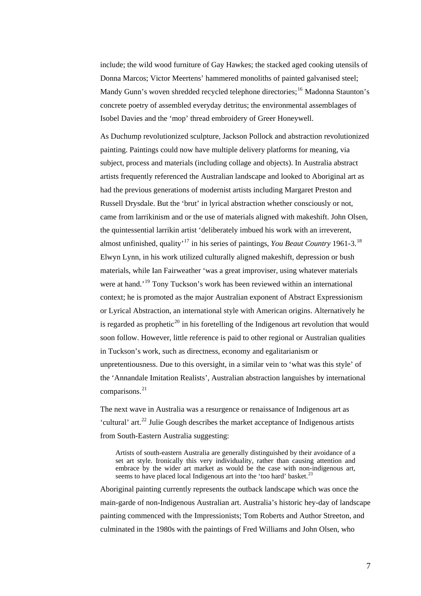include; the wild wood furniture of Gay Hawkes; the stacked aged cooking utensils of Donna Marcos; Victor Meertens' hammered monoliths of painted galvanised steel; Mandy Gunn's woven shredded recycled telephone directories;<sup>[16](#page-8-1)</sup> Madonna Staunton's concrete poetry of assembled everyday detritus; the environmental assemblages of Isobel Davies and the 'mop' thread embroidery of Greer Honeywell.

As Duchump revolutionized sculpture, Jackson Pollock and abstraction revolutionized painting. Paintings could now have multiple delivery platforms for meaning, via subject, process and materials (including collage and objects). In Australia abstract artists frequently referenced the Australian landscape and looked to Aboriginal art as had the previous generations of modernist artists including Margaret Preston and Russell Drysdale. But the 'brut' in lyrical abstraction whether consciously or not, came from larrikinism and or the use of materials aligned with makeshift. John Olsen, the quintessential larrikin artist 'deliberately imbued his work with an irreverent, almost unfinished, quality'[17](#page-8-1) in his series of paintings, *You Beaut Country* 1961-3.[18](#page-8-1) Elwyn Lynn, in his work utilized culturally aligned makeshift, depression or bush materials, while Ian Fairweather 'was a great improviser, using whatever materials were at hand.<sup>'[19](#page-8-1)</sup> Tony Tuckson's work has been reviewed within an international context; he is promoted as the major Australian exponent of Abstract Expressionism or Lyrical Abstraction, an international style with American origins. Alternatively he is regarded as prophetic<sup>[20](#page-9-0)</sup> in his foretelling of the Indigenous art revolution that would soon follow. However, little reference is paid to other regional or Australian qualities in Tuckson's work, such as directness, economy and egalitarianism or unpretentiousness. Due to this oversight, in a similar vein to 'what was this style' of the 'Annandale Imitation Realists', Australian abstraction languishes by international comparisons. $^{21}$  $^{21}$  $^{21}$ 

The next wave in Australia was a resurgence or renaissance of Indigenous art as 'cultural' art.<sup>[22](#page-9-0)</sup> Julie Gough describes the market acceptance of Indigenous artists from South-Eastern Australia suggesting:

Artists of south-eastern Australia are generally distinguished by their avoidance of a set art style. Ironically this very individuality, rather than causing attention and embrace by the wider art market as would be the case with non-indigenous art, seems to have placed local Indigenous art into the 'too hard' basket.<sup>[23](#page-9-0)</sup>

Aboriginal painting currently represents the outback landscape which was once the main-garde of non-Indigenous Australian art. Australia's historic hey-day of landscape painting commenced with the Impressionists; Tom Roberts and Author Streeton, and culminated in the 1980s with the paintings of Fred Williams and John Olsen, who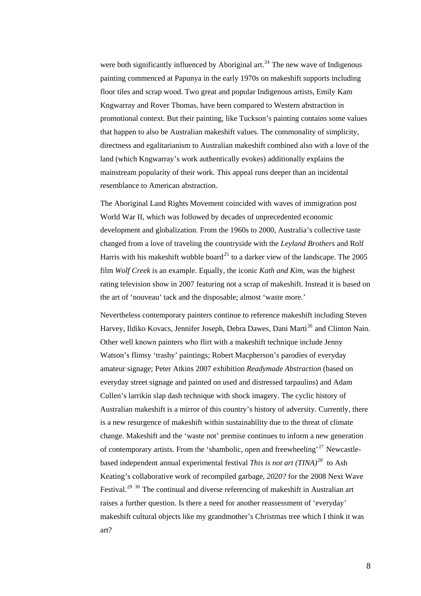were both significantly influenced by Aboriginal art.<sup>[24](#page-9-0)</sup> The new wave of Indigenous painting commenced at Papunya in the early 1970s on makeshift supports including floor tiles and scrap wood. Two great and popular Indigenous artists, Emily Kam Kngwarray and Rover Thomas, have been compared to Western abstraction in promotional context. But their painting, like Tuckson's painting contains some values that happen to also be Australian makeshift values. The commonality of simplicity, directness and egalitarianism to Australian makeshift combined also with a love of the land (which Kngwarray's work authentically evokes) additionally explains the mainstream popularity of their work. This appeal runs deeper than an incidental resemblance to American abstraction.

The Aboriginal Land Rights Movement coincided with waves of immigration post World War II, which was followed by decades of unprecedented economic development and globalization. From the 1960s to 2000, Australia's collective taste changed from a love of traveling the countryside with the *Leyland Brothers* and Rolf Harris with his makeshift wobble board<sup>[25](#page-9-0)</sup> to a darker view of the landscape. The  $2005$ film *Wolf Creek* is an example. Equally, the iconic *Kath and Kim*, was the highest rating television show in 2007 featuring not a scrap of makeshift. Instead it is based on the art of 'nouveau' tack and the disposable; almost 'waste more.'

Nevertheless contemporary painters continue to reference makeshift including Steven Harvey, Ildiko Kovacs, Jennifer Joseph, Debra Dawes, Dani Marti<sup>[26](#page-9-0)</sup> and Clinton Nain. Other well known painters who flirt with a makeshift technique include Jenny Watson's flimsy 'trashy' paintings; Robert Macpherson's parodies of everyday amateur signage; Peter Atkins 2007 exhibition *Readymade Abstraction* (based on everyday street signage and painted on used and distressed tarpaulins) and Adam Cullen's larrikin slap dash technique with shock imagery. The cyclic history of Australian makeshift is a mirror of this country's history of adversity. Currently, there is a new resurgence of makeshift within sustainability due to the threat of climate change. Makeshift and the 'waste not' premise continues to inform a new generation of contemporary artists. From the 'shambolic, open and freewheeling'<sup>[27](#page-9-0)</sup> Newcastlebased independent annual experimental festival *This is not art (TINA)[28](#page-9-0)* to Ash Keating's collaborative work of recompiled garbage, *2020?* for the 2008 Next Wave Festival.<sup>[29](#page-9-0)</sup> <sup>[30](#page-9-0)</sup> The continual and diverse referencing of makeshift in Australian art raises a further question. Is there a need for another reassessment of 'everyday' makeshift cultural objects like my grandmother's Christmas tree which I think it was art?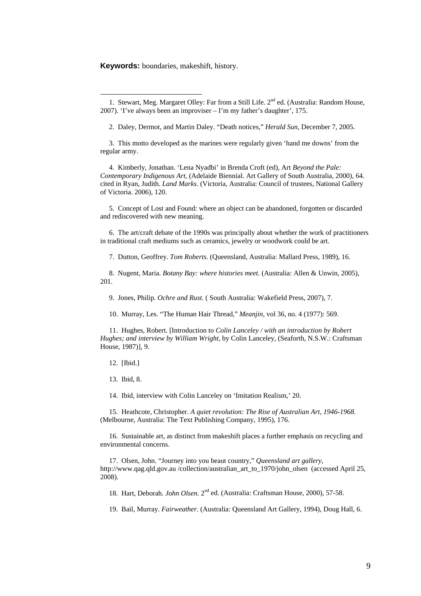### <span id="page-8-1"></span>**Keywords:** boundaries, makeshift, history.

<u>.</u>

2. Daley, Dermot, and Martin Daley. "Death notices," *Herald Sun*, December 7, 2005.

 3. This motto developed as the marines were regularly given 'hand me downs' from the regular army.

 4. Kimberly, Jonathan. 'Lena Nyadbi' in Brenda Croft (ed), Art *Beyond the Pale: Contemporary Indigenous Art,* (Adelaide Biennial. Art Gallery of South Australia, 2000), 64. cited in Ryan, Judith. *Land Marks.* (Victoria, Australia: Council of trustees, National Gallery of Victoria. 2006), 120.

 5. Concept of Lost and Found: where an object can be abandoned, forgotten or discarded and rediscovered with new meaning.

 6. The art/craft debate of the 1990s was principally about whether the work of practitioners in traditional craft mediums such as ceramics, jewelry or woodwork could be art.

7. Dutton, Geoffrey. *Tom Roberts.* (Queensland, Australia: Mallard Press, 1989), 16.

 8. Nugent, Maria. *Botany Bay: where histories meet.* (Australia: Allen & Unwin, 2005), 201.

9. Jones, Philip. *Ochre and Rust.* ( South Australia: Wakefield Press, 2007), 7.

10. Murray, Les. "The Human Hair Thread," *Meanjin*, vol 36, no. 4 (1977): 569.

 11. Hughes, Robert. [Introduction to *Colin Lanceley / with an introduction by Robert Hughes; and interview by William Wright,* by Colin Lanceley, (Seaforth, N.S.W.: Craftsman House, 1987)], 9.

12. [Ibid.]

13. Ibid, 8.

14. Ibid, interview with Colin Lanceley on 'Imitation Realism,' 20.

 15. Heathcote, Christopher. *A quiet revolution: The Rise of Australian Art, 1946-1968.* (Melbourne, Australia: The Text Publishing Company, 1995), 176.

 16. Sustainable art, as distinct from makeshift places a further emphasis on recycling and environmental concerns.

 17. Olsen, John. "Journey into you beaut country," *Queensland art gallery*, [http://www.qag.qld.gov.au](http://www.qag.qld.gov.au/) /collection[/australian\\_art\\_to\\_1970/john\\_olsen](http://www.qag.qld.gov.au/collection/australian_art_to_1970/john_olsen) (accessed April 25, 2008).

18. Hart, Deborah. *John Olsen.* 2nd ed. (Australia: Craftsman House, 2000), 57-58.

19. Bail, Murray. *Fairweather.* (Australia: Queensland Art Gallery, 1994), Doug Hall, 6.

<span id="page-8-0"></span><sup>1.</sup> Stewart, Meg. Margaret Olley: Far from a Still Life. 2<sup>nd</sup> ed. (Australia: Random House, 2007). 'I've always been an improviser – I'm my father's daughter', 175.